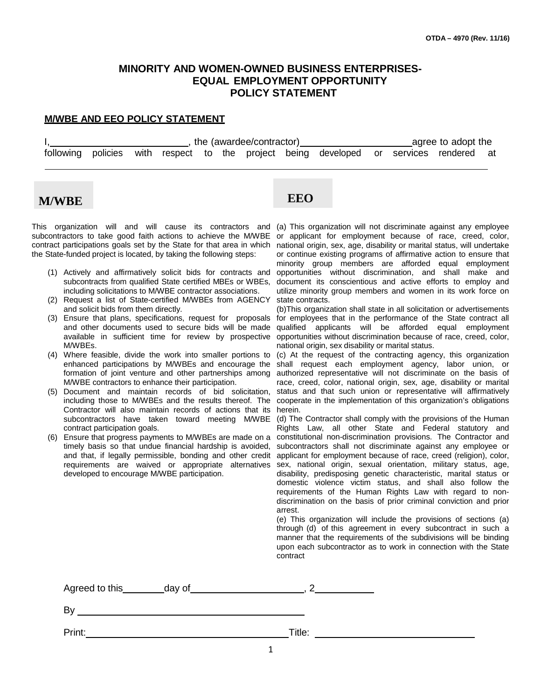## **MINORITY AND WOMEN-OWNED BUSINESS ENTERPRISES-EQUAL EMPLOYMENT OPPORTUNITY POLICY STATEMENT**

### **M/WBE AND EEO POLICY STATEMENT**

I, the (awardee/contractor) agree to adopt the state of the state of the state of the state of the state of the following policies with respect to the project being developed or services rendered at

# **M/WBE EEO**

This organization will and will cause its contractors and (a) This-organization-will-not-discriminate-against-any-employee subcontractors to take good faith actions to achieve the M/WBE contract participations goals set by the State for that area in which the State-funded project is located, by taking the following steps:

- (1) Actively and affirmatively solicit bids for contracts and subcontracts from qualified State certified MBEs or WBEs, including solicitations to M/WBE contractor associations.
- (2) Request a list of State-certified M/WBEs from AGENCY and solicit bids from them directly.
- M/WBEs.
- (4) Where feasible, divide the work into smaller portions to enhanced participations by M/WBEs and encourage the formation of joint venture and other partnerships among M/WBE contractors to enhance their participation.
- (5) Document and maintain records of bid solicitation, including those to M/WBEs and the results thereof. The Contractor will also maintain records of actions that its subcontractors have taken toward meeting M/WBE contract participation goals.
- (6) Ensure that progress payments to M/WBEs are made on a timely basis so that undue financial hardship is avoided, and that, if legally permissible, bonding and other credit developed to encourage M/WBE participation.

or applicant for employment because of race, creed, color, national origin, sex, age, disability or marital status, will undertake or continue existing programs of affirmative action to ensure that minority group members are afforded equal employment opportunities without discrimination, and shall make and document its conscientious and active efforts to employ and utilize minority group members and women in its work force on state contracts.

(3) Ensure that plans, specifications, request for proposals for employees that in the performance of the State contract all and other documents used to secure bids will be made qualified applicants will be afforded equal employment available in sufficient time for review by prospective opportunities without discrimination-because-of-race, creed, color, (b)This organization shall state in all solicitation or advertisements national origin, sex disability or marital status.

> (c) At the request of the contracting agency, this organization shall request each employment agency, labor union, or authorized representative will not discriminate on the basis of race, creed, color, national origin, sex, age, disability or marital status and that such union or representative will affirmatively cooperate in the implementation of this organization's obligations herein.

requirements are waived or appropriate alternatives sex, national origin, sexual orientation, military status, age, (d) The Contractor shall comply with the provisions of the Human Rights Law, all other State and Federal statutory and constitutional non-discrimination provisions. The Contractor and subcontractors shall not discriminate against any employee or applicant for employment because of race, creed (religion), color, disability, predisposing genetic characteristic, marital status or domestic violence victim status, and shall also follow the requirements of the Human Rights Law with regard to nondiscrimination on the basis of prior criminal conviction and prior arrest.

> (e) This organization will include the provisions of sections (a) through (d) of this agreement in every subcontract in such a manner that the requirements of the subdivisions will be binding upon each subcontractor as to work in connection with the State contract

| Agreed to this | day of |        |
|----------------|--------|--------|
| $B_1$          |        |        |
| Print:         |        | Title: |